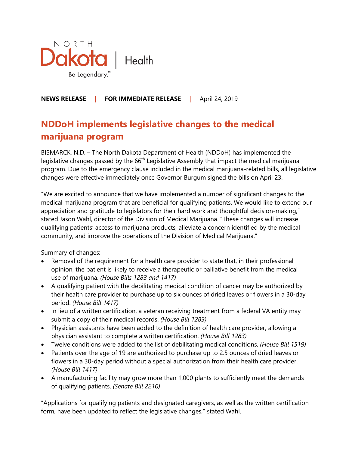

## **NEWS RELEASE** | **FOR IMMEDIATE RELEASE** |April 24, 2019

## **NDDoH implements legislative changes to the medical marijuana program**

BISMARCK, N.D. – The North Dakota Department of Health (NDDoH) has implemented the legislative changes passed by the 66<sup>th</sup> Legislative Assembly that impact the medical marijuana program. Due to the emergency clause included in the medical marijuana-related bills, all legislative changes were effective immediately once Governor Burgum signed the bills on April 23.

"We are excited to announce that we have implemented a number of significant changes to the medical marijuana program that are beneficial for qualifying patients. We would like to extend our appreciation and gratitude to legislators for their hard work and thoughtful decision-making," stated Jason Wahl, director of the Division of Medical Marijuana. "These changes will increase qualifying patients' access to marijuana products, alleviate a concern identified by the medical community, and improve the operations of the Division of Medical Marijuana."

Summary of changes:

- Removal of the requirement for a health care provider to state that, in their professional opinion, the patient is likely to receive a therapeutic or palliative benefit from the medical use of marijuana. *(House Bills 1283 and 1417)*
- A qualifying patient with the debilitating medical condition of cancer may be authorized by their health care provider to purchase up to six ounces of dried leaves or flowers in a 30-day period. *(House Bill 1417)*
- In lieu of a written certification, a veteran receiving treatment from a federal VA entity may submit a copy of their medical records. *(House Bill 1283)*
- Physician assistants have been added to the definition of health care provider, allowing a physician assistant to complete a written certification. *(House Bill 1283)*
- Twelve conditions were added to the list of debilitating medical conditions. *(House Bill 1519)*
- Patients over the age of 19 are authorized to purchase up to 2.5 ounces of dried leaves or flowers in a 30-day period without a special authorization from their health care provider. *(House Bill 1417)*
- A manufacturing facility may grow more than 1,000 plants to sufficiently meet the demands of qualifying patients. *(Senate Bill 2210)*

"Applications for qualifying patients and designated caregivers, as well as the written certification form, have been updated to reflect the legislative changes," stated Wahl.